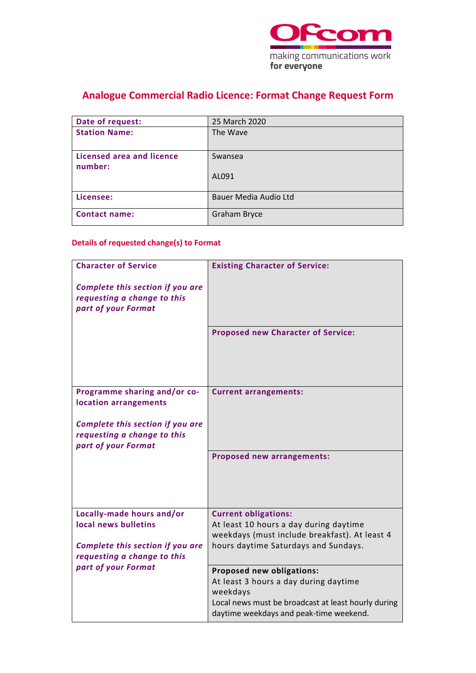

# **Analogue Commercial Radio Licence: Format Change Request Form**

| Date of request:                     | 25 March 2020                |
|--------------------------------------|------------------------------|
| <b>Station Name:</b>                 | The Wave                     |
| Licensed area and licence<br>number: | Swansea                      |
|                                      | AL091                        |
| Licensee:                            | <b>Bauer Media Audio Ltd</b> |
| <b>Contact name:</b>                 | Graham Bryce                 |

### **Details of requested change(s) to Format**

| <b>Character of Service</b>                                                            | <b>Existing Character of Service:</b>                                                                                                                                            |
|----------------------------------------------------------------------------------------|----------------------------------------------------------------------------------------------------------------------------------------------------------------------------------|
| Complete this section if you are<br>requesting a change to this                        |                                                                                                                                                                                  |
| part of your Format                                                                    |                                                                                                                                                                                  |
|                                                                                        | <b>Proposed new Character of Service:</b>                                                                                                                                        |
| Programme sharing and/or co-<br>location arrangements                                  | <b>Current arrangements:</b>                                                                                                                                                     |
| Complete this section if you are<br>requesting a change to this<br>part of your Format |                                                                                                                                                                                  |
|                                                                                        | <b>Proposed new arrangements:</b>                                                                                                                                                |
| Locally-made hours and/or<br>local news bulletins                                      | <b>Current obligations:</b><br>At least 10 hours a day during daytime<br>weekdays (must include breakfast). At least 4                                                           |
| Complete this section if you are<br>requesting a change to this                        | hours daytime Saturdays and Sundays.                                                                                                                                             |
| part of your Format                                                                    | Proposed new obligations:<br>At least 3 hours a day during daytime<br>weekdays<br>Local news must be broadcast at least hourly during<br>daytime weekdays and peak-time weekend. |
|                                                                                        |                                                                                                                                                                                  |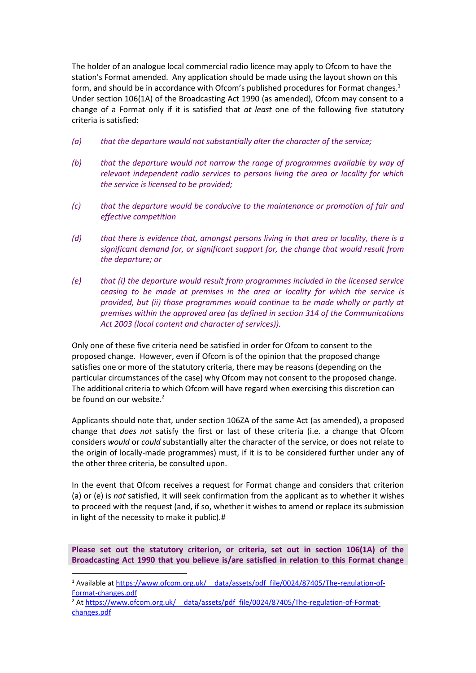The holder of an analogue local commercial radio licence may apply to Ofcom to have the station's Format amended. Any application should be made using the layout shown on this form, and should be in accordance with Ofcom's published procedures for Format changes. 1 Under section 106(1A) of the Broadcasting Act 1990 (as amended), Ofcom may consent to a change of a Format only if it is satisfied that *at least* one of the following five statutory criteria is satisfied:

- *(a) that the departure would not substantially alter the character of the service;*
- *(b) that the departure would not narrow the range of programmes available by way of relevant independent radio services to persons living the area or locality for which the service is licensed to be provided;*
- *(c) that the departure would be conducive to the maintenance or promotion of fair and effective competition*
- *(d) that there is evidence that, amongst persons living in that area or locality, there is a significant demand for, or significant support for, the change that would result from the departure; or*
- *(e) that (i) the departure would result from programmes included in the licensed service ceasing to be made at premises in the area or locality for which the service is provided, but (ii) those programmes would continue to be made wholly or partly at premises within the approved area (as defined in section 314 of the Communications Act 2003 (local content and character of services)).*

Only one of these five criteria need be satisfied in order for Ofcom to consent to the proposed change. However, even if Ofcom is of the opinion that the proposed change satisfies one or more of the statutory criteria, there may be reasons (depending on the particular circumstances of the case) why Ofcom may not consent to the proposed change. The additional criteria to which Ofcom will have regard when exercising this discretion can be found on our website. $2$ 

Applicants should note that, under section 106ZA of the same Act (as amended), a proposed change that *does not* satisfy the first or last of these criteria (i.e. a change that Ofcom considers *would* or *could* substantially alter the character of the service, or does not relate to the origin of locally-made programmes) must, if it is to be considered further under any of the other three criteria, be consulted upon.

In the event that Ofcom receives a request for Format change and considers that criterion (a) or (e) is *not* satisfied, it will seek confirmation from the applicant as to whether it wishes to proceed with the request (and, if so, whether it wishes to amend or replace its submission in light of the necessity to make it public).#

**Please set out the statutory criterion, or criteria, set out in section 106(1A) of the Broadcasting Act 1990 that you believe is/are satisfied in relation to this Format change** 

<sup>&</sup>lt;sup>1</sup> Available at https://www.ofcom.org.uk/ data/assets/pdf\_file/0024/87405/The-regulation-of-[Format-changes.pdf](https://www.ofcom.org.uk/__data/assets/pdf_file/0024/87405/The-regulation-of-Format-changes.pdf)

<sup>&</sup>lt;sup>2</sup> At https://www.ofcom.org.uk/ \_data/assets/pdf\_file/0024/87405/The-regulation-of-Format[changes.pdf](https://www.ofcom.org.uk/__data/assets/pdf_file/0024/87405/The-regulation-of-Format-changes.pdf)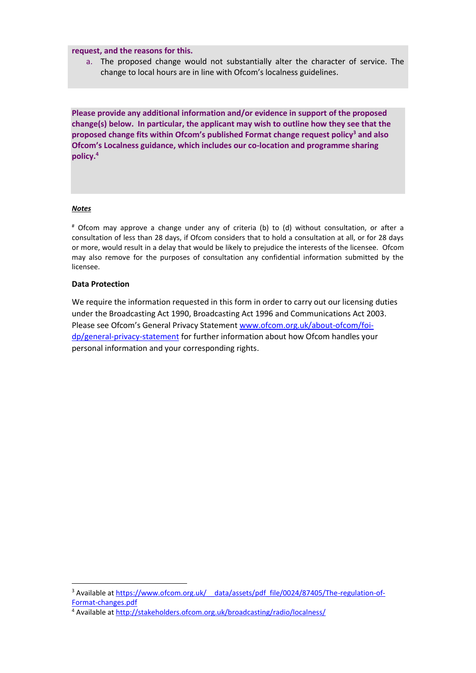**request, and the reasons for this.**

a. The proposed change would not substantially alter the character of service. The change to local hours are in line with Ofcom's localness guidelines.

**Please provide any additional information and/or evidence in support of the proposed change(s) below. In particular, the applicant may wish to outline how they see that the proposed change fits within Ofcom's published Format change request policy<sup>3</sup> and also Ofcom's Localness guidance, which includes our co-location and programme sharing policy. 4**

#### *Notes*

# Ofcom may approve a change under any of criteria (b) to (d) without consultation, or after a consultation of less than 28 days, if Ofcom considers that to hold a consultation at all, or for 28 days or more, would result in a delay that would be likely to prejudice the interests of the licensee. Ofcom may also remove for the purposes of consultation any confidential information submitted by the licensee.

### **Data Protection**

We require the information requested in this form in order to carry out our licensing duties under the Broadcasting Act 1990, Broadcasting Act 1996 and Communications Act 2003. Please see Ofcom's General Privacy Statement [www.ofcom.org.uk/about-ofcom/foi](http://www.ofcom.org.uk/about-ofcom/foi-dp/general-privacy-statement)[dp/general-privacy-statement](http://www.ofcom.org.uk/about-ofcom/foi-dp/general-privacy-statement) for further information about how Ofcom handles your personal information and your corresponding rights.

<sup>&</sup>lt;sup>3</sup> Available at https://www.ofcom.org.uk/ data/assets/pdf file/0024/87405/The-regulation-of-[Format-changes.pdf](https://www.ofcom.org.uk/__data/assets/pdf_file/0024/87405/The-regulation-of-Format-changes.pdf)

<sup>4</sup> Available at<http://stakeholders.ofcom.org.uk/broadcasting/radio/localness/>